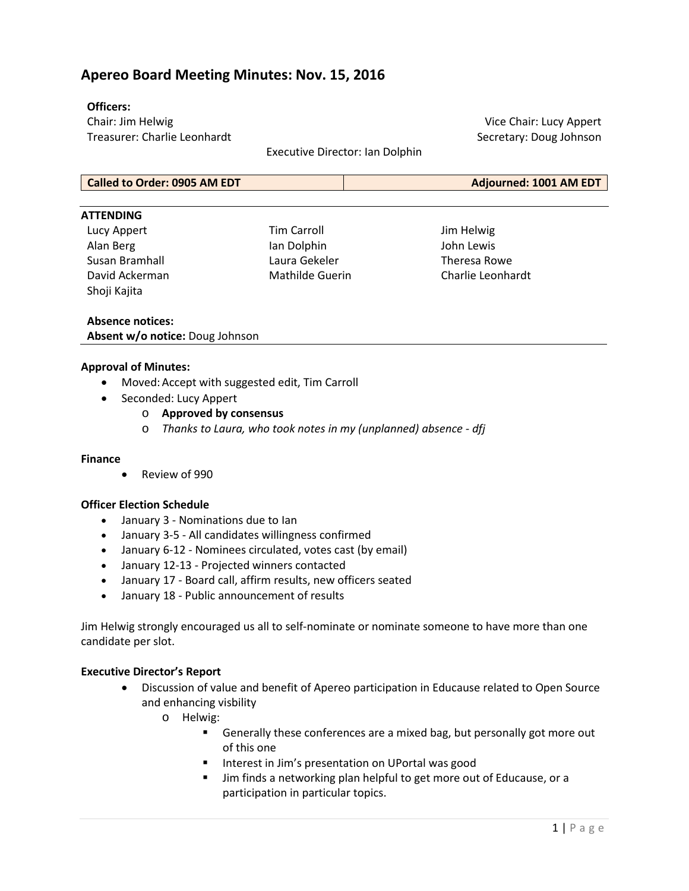# **Apereo Board Meeting Minutes: Nov. 15, 2016**

## **Officers:**

Chair: Jim Helwig Treasurer: Charlie Leonhardt

Executive Director: Ian Dolphin

Vice Chair: Lucy Appert Secretary: Doug Johnson

**Called to Order: 0905 AM EDT Adjourned: 1001 AM EDT**

#### **ATTENDING**

Lucy Appert Alan Berg Susan Bramhall David Ackerman Shoji Kajita

Tim Carroll Ian Dolphin Laura Gekeler Mathilde Guerin

Jim Helwig John Lewis Theresa Rowe Charlie Leonhardt

### **Absence notices: Absent w/o notice:** Doug Johnson

### **Approval of Minutes:**

- Moved: Accept with suggested edit, Tim Carroll
- Seconded: Lucy Appert
	- o **Approved by consensus**
	- o *Thanks to Laura, who took notes in my (unplanned) absence - dfj*

#### **Finance**

• Review of 990

## **Officer Election Schedule**

- January 3 Nominations due to Ian
- January 3-5 All candidates willingness confirmed
- January 6-12 Nominees circulated, votes cast (by email)
- January 12-13 Projected winners contacted
- January 17 Board call, affirm results, new officers seated
- January 18 Public announcement of results

Jim Helwig strongly encouraged us all to self-nominate or nominate someone to have more than one candidate per slot.

## **Executive Director's Report**

- Discussion of value and benefit of Apereo participation in Educause related to Open Source and enhancing visbility
	- o Helwig:
		- Generally these conferences are a mixed bag, but personally got more out of this one
		- **IF** Interest in Jim's presentation on UPortal was good
		- Jim finds a networking plan helpful to get more out of Educause, or a participation in particular topics.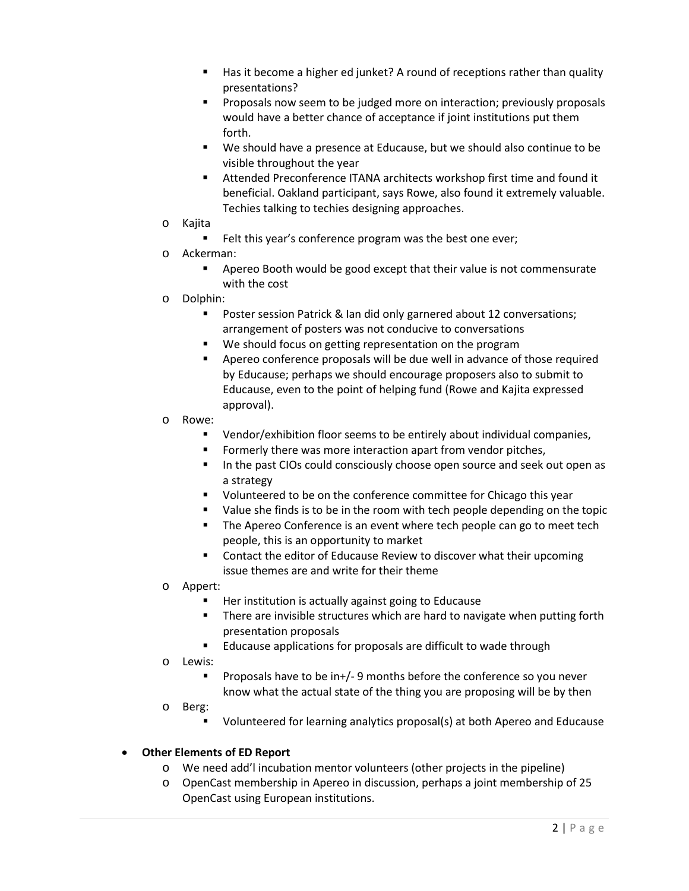- Has it become a higher ed junket? A round of receptions rather than quality presentations?
- Proposals now seem to be judged more on interaction; previously proposals would have a better chance of acceptance if joint institutions put them forth.
- We should have a presence at Educause, but we should also continue to be visible throughout the year
- Attended Preconference ITANA architects workshop first time and found it beneficial. Oakland participant, says Rowe, also found it extremely valuable. Techies talking to techies designing approaches.
- o Kajita
	- Felt this year's conference program was the best one ever;
- o Ackerman:
	- Apereo Booth would be good except that their value is not commensurate with the cost
- o Dolphin:
	- **Poster session Patrick & Ian did only garnered about 12 conversations;** arrangement of posters was not conducive to conversations
	- We should focus on getting representation on the program
	- Apereo conference proposals will be due well in advance of those required by Educause; perhaps we should encourage proposers also to submit to Educause, even to the point of helping fund (Rowe and Kajita expressed approval).
- o Rowe:
	- Vendor/exhibition floor seems to be entirely about individual companies,
	- Formerly there was more interaction apart from vendor pitches,
	- In the past CIOs could consciously choose open source and seek out open as a strategy
	- Updunteered to be on the conference committee for Chicago this year
	- Value she finds is to be in the room with tech people depending on the topic
	- **The Apereo Conference is an event where tech people can go to meet tech** people, this is an opportunity to market
	- Contact the editor of Educause Review to discover what their upcoming issue themes are and write for their theme
- o Appert:
	- Her institution is actually against going to Educause
	- **There are invisible structures which are hard to navigate when putting forth** presentation proposals
	- **E** Educause applications for proposals are difficult to wade through
- o Lewis:
	- Proposals have to be in+/- 9 months before the conference so you never know what the actual state of the thing you are proposing will be by then
- o Berg:
	- Volunteered for learning analytics proposal(s) at both Apereo and Educause

# • **Other Elements of ED Report**

- o We need add'l incubation mentor volunteers (other projects in the pipeline)
- o OpenCast membership in Apereo in discussion, perhaps a joint membership of 25 OpenCast using European institutions.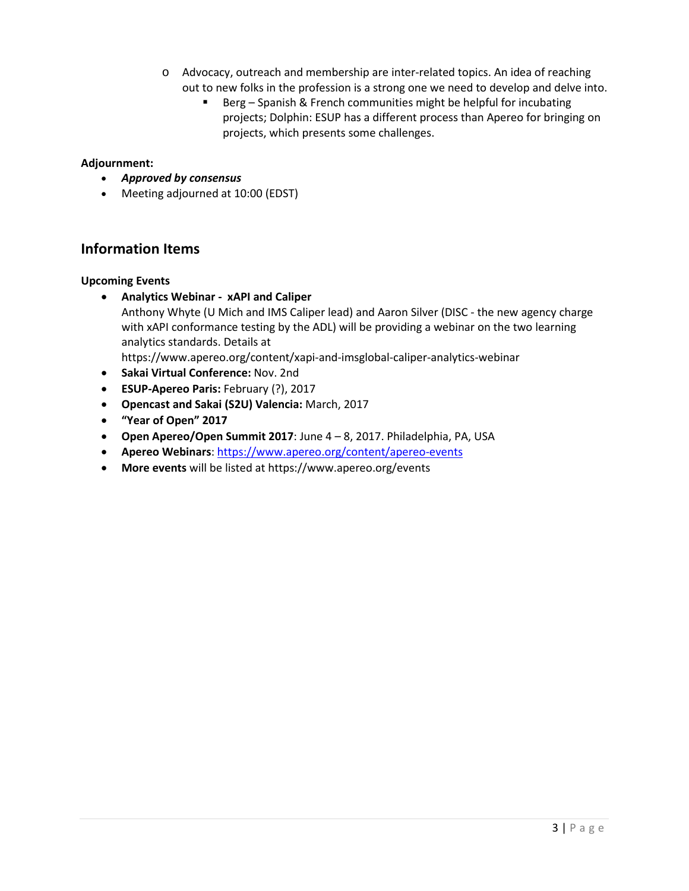- o Advocacy, outreach and membership are inter-related topics. An idea of reaching out to new folks in the profession is a strong one we need to develop and delve into.
	- Berg Spanish & French communities might be helpful for incubating projects; Dolphin: ESUP has a different process than Apereo for bringing on projects, which presents some challenges.

## **Adjournment:**

- *Approved by consensus*
- Meeting adjourned at 10:00 (EDST)

# **Information Items**

## **Upcoming Events**

• **Analytics Webinar - xAPI and Caliper** Anthony Whyte (U Mich and IMS Caliper lead) and Aaron Silver (DISC - the new agency charge with xAPI conformance testing by the ADL) will be providing a webinar on the two learning analytics standards. Details at

<https://www.apereo.org/content/xapi-and-imsglobal-caliper-analytics-webinar>

- **Sakai Virtual Conference:** Nov. 2nd
- **ESUP-Apereo Paris:** February (?), 2017
- **Opencast and Sakai (S2U) Valencia:** March, 2017
- **"Year of Open" 2017**
- **Open Apereo/Open Summit 2017**: June 4 8, 2017. Philadelphia, PA, USA
- **Apereo Webinars**:<https://www.apereo.org/content/apereo-events>
- **More events** will be listed at <https://www.apereo.org/events>